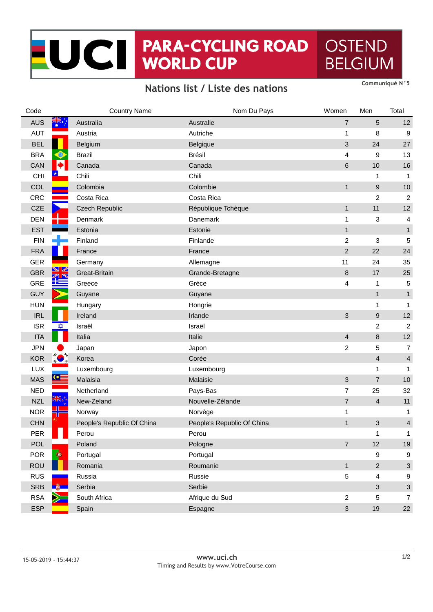## NOCH PARA-CYCLING ROAD **OSTEND BELGIUM**

## **Nations list / Liste des nations**

| Code       |                               | <b>Country Name</b>        | Nom Du Pays                | Women                   | Men                       | Total                     |
|------------|-------------------------------|----------------------------|----------------------------|-------------------------|---------------------------|---------------------------|
| <b>AUS</b> |                               | Australia                  | Australie                  | $\overline{7}$          | 5                         | 12                        |
| <b>AUT</b> |                               | Austria                    | Autriche                   | 1                       | 8                         | 9                         |
| <b>BEL</b> |                               | Belgium                    | Belgique                   | 3                       | 24                        | 27                        |
| <b>BRA</b> |                               | <b>Brazil</b>              | <b>Brésil</b>              | 4                       | 9                         | 13                        |
| CAN        |                               | Canada                     | Canada                     | 6                       | 10                        | 16                        |
| CHI        |                               | Chili                      | Chili                      |                         | 1                         | $\mathbf{1}$              |
| <b>COL</b> |                               | Colombia                   | Colombie                   | $\mathbf{1}$            | 9                         | 10                        |
| CRC        |                               | Costa Rica                 | Costa Rica                 |                         | $\overline{c}$            | $\overline{\mathbf{c}}$   |
| <b>CZE</b> |                               | <b>Czech Republic</b>      | République Tchèque         | $\mathbf{1}$            | 11                        | 12                        |
| <b>DEN</b> |                               | Denmark                    | Danemark                   | $\mathbf 1$             | 3                         | 4                         |
| <b>EST</b> |                               | Estonia                    | Estonie                    | $\mathbf{1}$            |                           | $\mathbf{1}$              |
| <b>FIN</b> |                               | Finland                    | Finlande                   | $\overline{\mathbf{c}}$ | $\ensuremath{\mathsf{3}}$ | 5                         |
| <b>FRA</b> |                               | France                     | France                     | $\overline{c}$          | 22                        | 24                        |
| <b>GER</b> |                               | Germany                    | Allemagne                  | 11                      | 24                        | 35                        |
| <b>GBR</b> | NZ<br>$\mathbb{Z} \mathbb{N}$ | Great-Britain              | Grande-Bretagne            | $\bf 8$                 | 17                        | 25                        |
| GRE        |                               | Greece                     | Grèce                      | 4                       | 1                         | 5                         |
| <b>GUY</b> |                               | Guyane                     | Guyane                     |                         | $\mathbf{1}$              | $\mathbf{1}$              |
| <b>HUN</b> |                               | Hungary                    | Hongrie                    |                         | 1                         | $\mathbf{1}$              |
| <b>IRL</b> |                               | Ireland                    | Irlande                    | 3                       | 9                         | 12                        |
| <b>ISR</b> | XX                            | Israël                     | Israël                     |                         | $\overline{c}$            | $\overline{\mathbf{c}}$   |
| <b>ITA</b> |                               | Italia                     | Italie                     | 4                       | 8                         | 12                        |
| <b>JPN</b> |                               | Japan                      | Japon                      | $\overline{\mathbf{c}}$ | 5                         | $\overline{7}$            |
| <b>KOR</b> |                               | Korea                      | Corée                      |                         | $\overline{\mathbf{4}}$   | $\overline{4}$            |
| LUX        |                               | Luxembourg                 | Luxembourg                 |                         | 1                         | $\mathbf{1}$              |
| <b>MAS</b> | $G \equiv$                    | Malaisia                   | Malaisie                   | 3                       | $\overline{7}$            | 10                        |
| <b>NED</b> |                               | Netherland                 | Pays-Bas                   | 7                       | 25                        | 32                        |
| <b>NZL</b> |                               | New-Zeland                 | Nouvelle-Zélande           | $\overline{7}$          | $\sqrt{4}$                | 11                        |
| <b>NOR</b> |                               | Norway                     | Norvège                    | 1                       |                           | 1                         |
| <b>CHN</b> |                               | People's Republic Of China | People's Republic Of China | $\mathbf{1}$            | 3                         | $\overline{4}$            |
| <b>PER</b> | П                             | Perou                      | Perou                      |                         | 1                         | 1                         |
| <b>POL</b> |                               | Poland                     | Pologne                    | $\overline{7}$          | 12                        | 19                        |
| <b>POR</b> | $\langle \rangle$             | Portugal                   | Portugal                   |                         | $\boldsymbol{9}$          | 9                         |
| <b>ROU</b> |                               | Romania                    | Roumanie                   | $\mathbf{1}$            | $\sqrt{2}$                | $\sqrt{3}$                |
| <b>RUS</b> |                               | Russia                     | Russie                     | $\sqrt{5}$              | $\overline{\mathbf{4}}$   | 9                         |
| <b>SRB</b> | <b>Let u</b>                  | Serbia                     | Serbie                     |                         | $\ensuremath{\mathsf{3}}$ | $\ensuremath{\mathsf{3}}$ |
| <b>RSA</b> |                               | South Africa               | Afrique du Sud             | $\overline{2}$          | $\mathbf 5$               | $\overline{7}$            |
| <b>ESP</b> |                               | Spain                      | Espagne                    | $\mathfrak{S}$          | 19                        | 22                        |